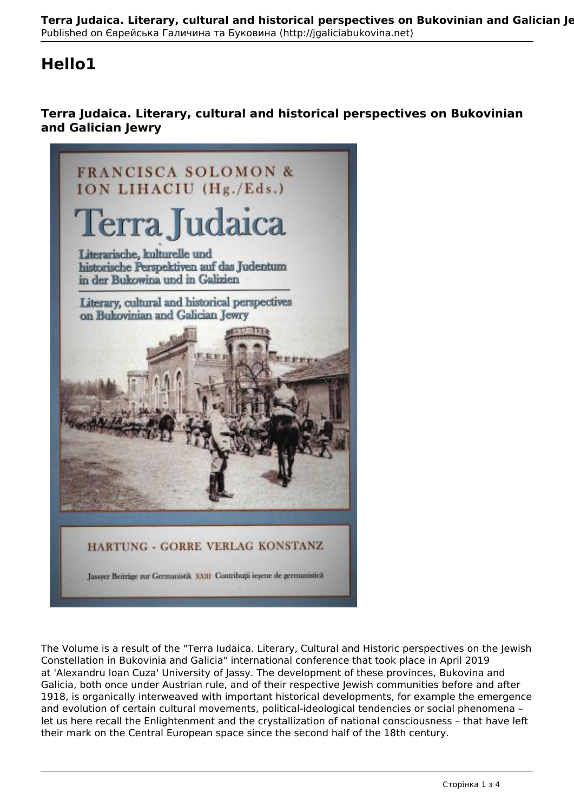## **Hello1**

## **Terra Judaica. Literary, cultural and historical perspectives on Bukovinian and Galician Jewry**



The Volume is a result of the "Terra Iudaica. Literary, Cultural and Historic perspectives on the Jewish Constellation in Bukovinia and Galicia" international conference that took place in April 2019 at 'Alexandru Ioan Cuza' University of Jassy. The development of these provinces, Bukovina and Galicia, both once under Austrian rule, and of their respective Jewish communities before and after 1918, is organically interweaved with important historical developments, for example the emergence and evolution of certain cultural movements, political-ideological tendencies or social phenomena – let us here recall the Enlightenment and the crystallization of national consciousness – that have left their mark on the Central European space since the second half of the 18th century.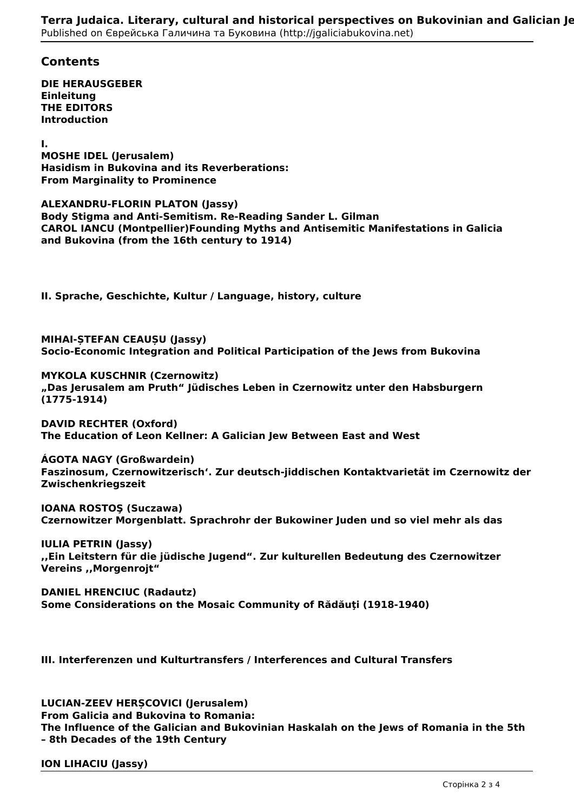## **Contents**

**DIE HERAUSGEBER Einleitung THE EDITORS Introduction**

**I.**

**MOSHE IDEL (Jerusalem) Hasidism in Bukovina and its Reverberations: From Marginality to Prominence**

**ALEXANDRU-FLORIN PLATON (Jassy) Body Stigma and Anti-Semitism. Re-Reading Sander L. Gilman CAROL IANCU (Montpellier)Founding Myths and Antisemitic Manifestations in Galicia**

**and Bukovina (from the 16th century to 1914)**

**II. Sprache, Geschichte, Kultur / Language, history, culture**

**MIHAI-ȘTEFAN CEAUȘU (Jassy) Socio-Economic Integration and Political Participation of the Jews from Bukovina**

**MYKOLA KUSCHNIR (Czernowitz) "Das Jerusalem am Pruth" Jüdisches Leben in Czernowitz unter den Habsburgern (1775-1914)**

**DAVID RECHTER (Oxford) The Education of Leon Kellner: A Galician Jew Between East and West**

**ÁGOTA NAGY (Großwardein) Faszinosum' Czernowitzerisch'. Zur deutsch-jiddischen Kontaktvarietät im Czernowitz der Zwischenkriegszeit**

**IOANA ROSTOŞ (Suczawa) Czernowitzer Morgenblatt. Sprachrohr der Bukowiner Juden und so viel mehr als das**

**IULIA PETRIN (Jassy) ,,Ein Leitstern für die jüdische Jugend". Zur kulturellen Bedeutung des Czernowitzer Vereins ,,Morgenrojt"**

**DANIEL HRENCIUC (Radautz) Some Considerations on the Mosaic Community of Rădăuţi (1918-1940)**

**III. Interferenzen und Kulturtransfers / Interferences and Cultural Transfers**

**LUCIAN-ZEEV HERȘCOVICI (Jerusalem) From Galicia and Bukovina to Romania: The Influence of the Galician and Bukovinian Haskalah on the Jews of Romania in the 5th – 8th Decades of the 19th Century**

## **ION LIHACIU (Jassy)**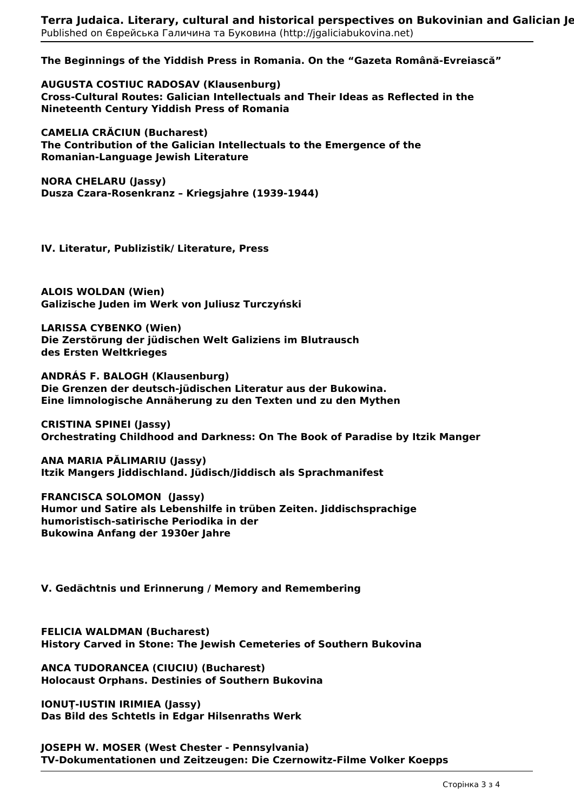**The Beginnings of the Yiddish Press in Romania. On the "Gazeta Română-Evreiască"**

**AUGUSTA COSTIUC RADOSAV (Klausenburg) Cross-Cultural Routes: Galician Intellectuals and Their Ideas as Reflected in the Nineteenth Century Yiddish Press of Romania**

**CAMELIA CRĂCIUN (Bucharest) The Contribution of the Galician Intellectuals to the Emergence of the Romanian-Language Jewish Literature**

**NORA CHELARU (Jassy) Dusza Czara-Rosenkranz – Kriegsjahre (1939-1944)**

**IV. Literatur, Publizistik/ Literature, Press**

**ALOIS WOLDAN (Wien) Galizische Juden im Werk von Juliusz Turczyński**

**LARISSA CYBENKO (Wien) Die Zerstörung der jüdischen Welt Galiziens im Blutrausch des Ersten Weltkrieges**

**ANDRÁS F. BALOGH (Klausenburg) Die Grenzen der deutsch-jüdischen Literatur aus der Bukowina. Eine limnologische Annäherung zu den Texten und zu den Mythen**

**CRISTINA SPINEI (Jassy) Orchestrating Childhood and Darkness: On The Book of Paradise by Itzik Manger**

**ANA MARIA PĂLIMARIU (Jassy) Itzik Mangers Jiddischland. Jüdisch/Jiddisch als Sprachmanifest**

**FRANCISCA SOLOMON (Jassy) Humor und Satire als Lebenshilfe in trüben Zeiten. Jiddischsprachige humoristisch-satirische Periodika in der Bukowina Anfang der 1930er Jahre**

**V. Gedächtnis und Erinnerung / Memory and Remembering**

**FELICIA WALDMAN (Bucharest) History Carved in Stone: The Jewish Cemeteries of Southern Bukovina**

**ANCA TUDORANCEA (CIUCIU) (Bucharest) Holocaust Orphans. Destinies of Southern Bukovina**

**IONUŢ-IUSTIN IRIMIEA (Jassy) Das Bild des Schtetls in Edgar Hilsenraths Werk**

**JOSEPH W. MOSER (West Chester - Pennsylvania) TV-Dokumentationen und Zeitzeugen: Die Czernowitz-Filme Volker Koepps**